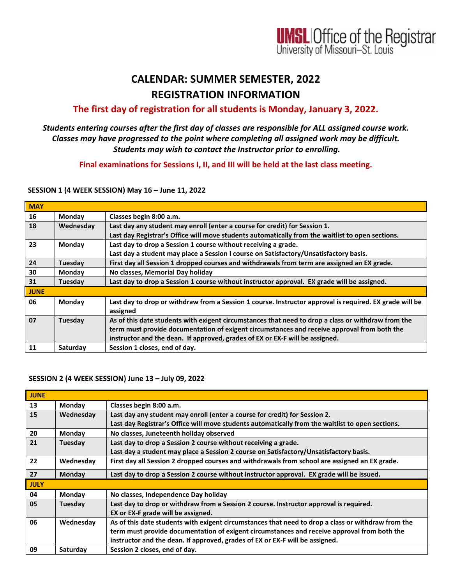

# **CALENDAR: SUMMER SEMESTER, 2022 REGISTRATION INFORMATION**

# **The first day of registration for all students is Monday, January 3, 2022.**

### *Students entering courses after the first day of classes are responsible for ALL assigned course work. Classes may have progressed to the point where completing all assigned work may be difficult. Students may wish to contact the Instructor prior to enrolling.*

**Final examinations for Sessions I, II, and III will be held at the last class meeting.**

#### **SESSION 1 (4 WEEK SESSION) May 16 – June 11, 2022**

| <b>MAY</b>  |           |                                                                                                                                                                                                                                                                                   |
|-------------|-----------|-----------------------------------------------------------------------------------------------------------------------------------------------------------------------------------------------------------------------------------------------------------------------------------|
| 16          | Monday    | Classes begin 8:00 a.m.                                                                                                                                                                                                                                                           |
| 18          | Wednesday | Last day any student may enroll (enter a course for credit) for Session 1.                                                                                                                                                                                                        |
|             |           | Last day Registrar's Office will move students automatically from the waitlist to open sections.                                                                                                                                                                                  |
| 23          | Monday    | Last day to drop a Session 1 course without receiving a grade.                                                                                                                                                                                                                    |
|             |           | Last day a student may place a Session I course on Satisfactory/Unsatisfactory basis.                                                                                                                                                                                             |
| 24          | Tuesday   | First day all Session 1 dropped courses and withdrawals from term are assigned an EX grade.                                                                                                                                                                                       |
| 30          | Monday    | No classes, Memorial Day holiday                                                                                                                                                                                                                                                  |
| 31          | Tuesday   | Last day to drop a Session 1 course without instructor approval. EX grade will be assigned.                                                                                                                                                                                       |
| <b>JUNE</b> |           |                                                                                                                                                                                                                                                                                   |
| 06          | Monday    | Last day to drop or withdraw from a Session 1 course. Instructor approval is required. EX grade will be<br>assigned                                                                                                                                                               |
| 07          | Tuesday   | As of this date students with exigent circumstances that need to drop a class or withdraw from the<br>term must provide documentation of exigent circumstances and receive approval from both the<br>instructor and the dean. If approved, grades of EX or EX-F will be assigned. |
| 11          | Saturday  | Session 1 closes, end of day.                                                                                                                                                                                                                                                     |

#### **SESSION 2 (4 WEEK SESSION) June 13 – July 09, 2022**

| <b>JUNE</b> |               |                                                                                                    |
|-------------|---------------|----------------------------------------------------------------------------------------------------|
| 13          | <b>Monday</b> | Classes begin 8:00 a.m.                                                                            |
| 15          | Wednesday     | Last day any student may enroll (enter a course for credit) for Session 2.                         |
|             |               | Last day Registrar's Office will move students automatically from the waitlist to open sections.   |
| 20          | Monday        | No classes, Juneteenth holiday observed                                                            |
| 21          | Tuesday       | Last day to drop a Session 2 course without receiving a grade.                                     |
|             |               | Last day a student may place a Session 2 course on Satisfactory/Unsatisfactory basis.              |
| 22          | Wednesday     | First day all Session 2 dropped courses and withdrawals from school are assigned an EX grade.      |
| 27          | Monday        | Last day to drop a Session 2 course without instructor approval. EX grade will be issued.          |
| <b>JULY</b> |               |                                                                                                    |
| 04          | <b>Monday</b> | No classes, Independence Day holiday                                                               |
| 05          | Tuesday       | Last day to drop or withdraw from a Session 2 course. Instructor approval is required.             |
|             |               | EX or EX-F grade will be assigned.                                                                 |
| 06          | Wednesday     | As of this date students with exigent circumstances that need to drop a class or withdraw from the |
|             |               | term must provide documentation of exigent circumstances and receive approval from both the        |
|             |               | instructor and the dean. If approved, grades of EX or EX-F will be assigned.                       |
| 09          | Saturday      | Session 2 closes, end of day.                                                                      |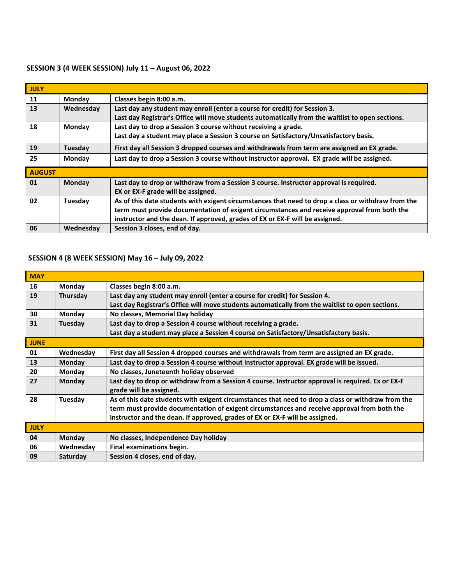## **SESSION 3 (4 WEEK SESSION) July 11 – August 06, 2022**

| <b>JULY</b>   |           |                                                                                                    |
|---------------|-----------|----------------------------------------------------------------------------------------------------|
| 11            | Monday    | Classes begin 8:00 a.m.                                                                            |
| 13            | Wednesday | Last day any student may enroll (enter a course for credit) for Session 3.                         |
|               |           | Last day Registrar's Office will move students automatically from the waitlist to open sections.   |
| 18            | Monday    | Last day to drop a Session 3 course without receiving a grade.                                     |
|               |           | Last day a student may place a Session 3 course on Satisfactory/Unsatisfactory basis.              |
| 19            | Tuesday   | First day all Session 3 dropped courses and withdrawals from term are assigned an EX grade.        |
| 25            | Monday    | Last day to drop a Session 3 course without instructor approval. EX grade will be assigned.        |
| <b>AUGUST</b> |           |                                                                                                    |
| 01            | Monday    | Last day to drop or withdraw from a Session 3 course. Instructor approval is required.             |
|               |           | EX or EX-F grade will be assigned.                                                                 |
| 02            | Tuesday   | As of this date students with exigent circumstances that need to drop a class or withdraw from the |
|               |           | term must provide documentation of exigent circumstances and receive approval from both the        |
|               |           | instructor and the dean. If approved, grades of EX or EX-F will be assigned.                       |
| 06            | Wednesday | Session 3 closes, end of day.                                                                      |

# **SESSION 4 (8 WEEK SESSION) May 16 – July 09, 2022**

| <b>MAY</b>  |               |                                                                                                                              |
|-------------|---------------|------------------------------------------------------------------------------------------------------------------------------|
| 16          | Monday        | Classes begin 8:00 a.m.                                                                                                      |
| 19          | Thursday      | Last day any student may enroll (enter a course for credit) for Session 4.                                                   |
|             |               | Last day Registrar's Office will move students automatically from the waitlist to open sections.                             |
| 30          | Monday        | No classes, Memorial Day holiday                                                                                             |
| 31          | Tuesday       | Last day to drop a Session 4 course without receiving a grade.                                                               |
|             |               | Last day a student may place a Session 4 course on Satisfactory/Unsatisfactory basis.                                        |
| <b>JUNE</b> |               |                                                                                                                              |
| 01          | Wednesday     | First day all Session 4 dropped courses and withdrawals from term are assigned an EX grade.                                  |
| 13          | Monday        | Last day to drop a Session 4 course without instructor approval. EX grade will be issued.                                    |
| 20          | Monday        | No classes, Juneteenth holiday observed                                                                                      |
| 27          | <b>Monday</b> | Last day to drop or withdraw from a Session 4 course. Instructor approval is required. Ex or EX-F<br>grade will be assigned. |
| 28          | Tuesday       | As of this date students with exigent circumstances that need to drop a class or withdraw from the                           |
|             |               | term must provide documentation of exigent circumstances and receive approval from both the                                  |
|             |               | instructor and the dean. If approved, grades of EX or EX-F will be assigned.                                                 |
| <b>JULY</b> |               |                                                                                                                              |
| 04          | <b>Monday</b> | No classes, Independence Day holiday                                                                                         |
| 06          | Wednesday     | Final examinations begin.                                                                                                    |
| 09          | Saturday      | Session 4 closes, end of day.                                                                                                |